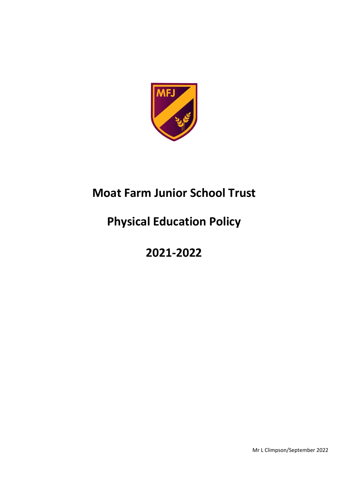

# **Moat Farm Junior School Trust**

# **Physical Education Policy**

# **2021-2022**

Mr L Climpson/September 2022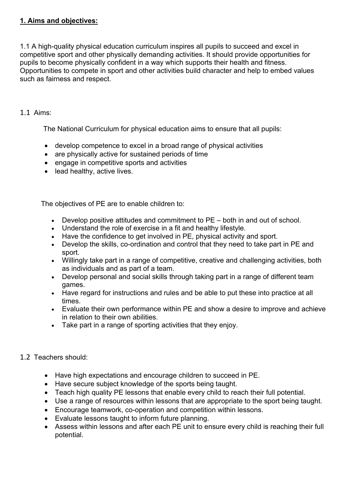### **1. Aims and objectives:**

1.1 A high-quality physical education curriculum inspires all pupils to succeed and excel in competitive sport and other physically demanding activities. It should provide opportunities for pupils to become physically confident in a way which supports their health and fitness. Opportunities to compete in sport and other activities build character and help to embed values such as fairness and respect.

#### 1.1 Aims:

The National Curriculum for physical education aims to ensure that all pupils:

- develop competence to excel in a broad range of physical activities
- are physically active for sustained periods of time
- engage in competitive sports and activities
- lead healthy, active lives.

The objectives of PE are to enable children to:

- Develop positive attitudes and commitment to PE both in and out of school.
- Understand the role of exercise in a fit and healthy lifestyle.
- Have the confidence to get involved in PE, physical activity and sport.
- Develop the skills, co-ordination and control that they need to take part in PE and sport.
- Willingly take part in a range of competitive, creative and challenging activities, both as individuals and as part of a team.
- Develop personal and social skills through taking part in a range of different team games.
- Have regard for instructions and rules and be able to put these into practice at all times.
- Evaluate their own performance within PE and show a desire to improve and achieve in relation to their own abilities.
- Take part in a range of sporting activities that they enjoy.

#### 1.2 Teachers should:

- Have high expectations and encourage children to succeed in PE.
- Have secure subject knowledge of the sports being taught.
- Teach high quality PE lessons that enable every child to reach their full potential.
- Use a range of resources within lessons that are appropriate to the sport being taught.
- Encourage teamwork, co-operation and competition within lessons.
- Evaluate lessons taught to inform future planning.
- Assess within lessons and after each PE unit to ensure every child is reaching their full potential.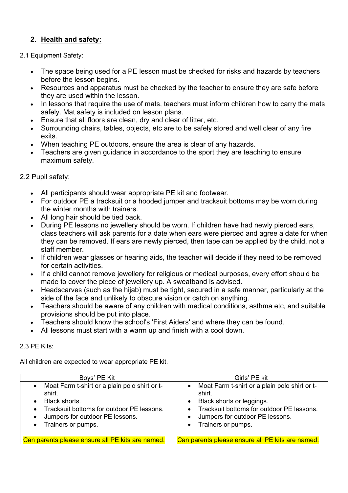## **2. Health and safety:**

#### 2.1 Equipment Safety:

- The space being used for a PE lesson must be checked for risks and hazards by teachers before the lesson begins.
- Resources and apparatus must be checked by the teacher to ensure they are safe before they are used within the lesson.
- In lessons that require the use of mats, teachers must inform children how to carry the mats safely. Mat safety is included on lesson plans.
- Ensure that all floors are clean, dry and clear of litter, etc.
- Surrounding chairs, tables, objects, etc are to be safely stored and well clear of any fire exits.
- When teaching PE outdoors, ensure the area is clear of any hazards.
- Teachers are given guidance in accordance to the sport they are teaching to ensure maximum safety.

#### 2.2 Pupil safety:

- All participants should wear appropriate PE kit and footwear.
- For outdoor PE a tracksuit or a hooded jumper and tracksuit bottoms may be worn during the winter months with trainers.
- All long hair should be tied back.
- During PE lessons no jewellery should be worn. If children have had newly pierced ears, class teachers will ask parents for a date when ears were pierced and agree a date for when they can be removed. If ears are newly pierced, then tape can be applied by the child, not a staff member.
- If children wear glasses or hearing aids, the teacher will decide if they need to be removed for certain activities.
- If a child cannot remove jewellery for religious or medical purposes, every effort should be made to cover the piece of jewellery up. A sweatband is advised.
- Headscarves (such as the hijab) must be tight, secured in a safe manner, particularly at the side of the face and unlikely to obscure vision or catch on anything.
- Teachers should be aware of any children with medical conditions, asthma etc, and suitable provisions should be put into place.
- Teachers should know the school's 'First Aiders' and where they can be found.
- All lessons must start with a warm up and finish with a cool down.

#### 2.3 PE Kits:

All children are expected to wear appropriate PE kit.

| Boys' PE Kit                                                                                                                                                                                                                                    | Girls' PE kit                                                                                                                                                                                                                       |
|-------------------------------------------------------------------------------------------------------------------------------------------------------------------------------------------------------------------------------------------------|-------------------------------------------------------------------------------------------------------------------------------------------------------------------------------------------------------------------------------------|
| Moat Farm t-shirt or a plain polo shirt or t-<br>$\bullet$<br>shirt.<br>Black shorts.<br>$\bullet$<br>Tracksuit bottoms for outdoor PE lessons.<br>$\bullet$<br>Jumpers for outdoor PE lessons.<br>$\bullet$<br>Trainers or pumps.<br>$\bullet$ | Moat Farm t-shirt or a plain polo shirt or t-<br>$\bullet$<br>shirt.<br>Black shorts or leggings.<br>$\bullet$<br>• Tracksuit bottoms for outdoor PE lessons.<br>Jumpers for outdoor PE lessons.<br>Trainers or pumps.<br>$\bullet$ |
| Can parents please ensure all PE kits are named.                                                                                                                                                                                                | Can parents please ensure all PE kits are named.                                                                                                                                                                                    |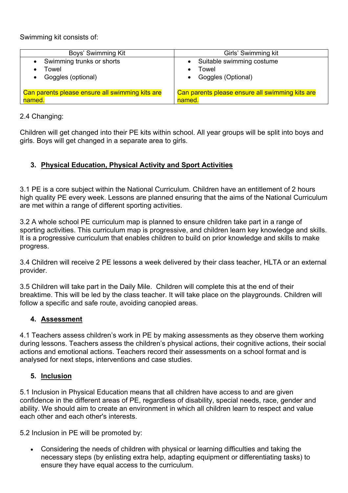Swimming kit consists of:

| Boys' Swimming Kit                              | Girls' Swimming kit                             |
|-------------------------------------------------|-------------------------------------------------|
| Swimming trunks or shorts                       | • Suitable swimming costume                     |
| Towel                                           | Towel                                           |
| Goggles (optional)                              | Goggles (Optional)                              |
| Can parents please ensure all swimming kits are | Can parents please ensure all swimming kits are |
| named.                                          | named.                                          |

#### 2.4 Changing:

Children will get changed into their PE kits within school. All year groups will be split into boys and girls. Boys will get changed in a separate area to girls.

#### **3. Physical Education, Physical Activity and Sport Activities**

3.1 PE is a core subject within the National Curriculum. Children have an entitlement of 2 hours high quality PE every week. Lessons are planned ensuring that the aims of the National Curriculum are met within a range of different sporting activities.

3.2 A whole school PE curriculum map is planned to ensure children take part in a range of sporting activities. This curriculum map is progressive, and children learn key knowledge and skills. It is a progressive curriculum that enables children to build on prior knowledge and skills to make progress.

3.4 Children will receive 2 PE lessons a week delivered by their class teacher, HLTA or an external provider.

3.5 Children will take part in the Daily Mile. Children will complete this at the end of their breaktime. This will be led by the class teacher. It will take place on the playgrounds. Children will follow a specific and safe route, avoiding canopied areas.

#### **4. Assessment**

4.1 Teachers assess children's work in PE by making assessments as they observe them working during lessons. Teachers assess the children's physical actions, their cognitive actions, their social actions and emotional actions. Teachers record their assessments on a school format and is analysed for next steps, interventions and case studies.

#### **5. Inclusion**

5.1 Inclusion in Physical Education means that all children have access to and are given confidence in the different areas of PE, regardless of disability, special needs, race, gender and ability. We should aim to create an environment in which all children learn to respect and value each other and each other's interests.

5.2 Inclusion in PE will be promoted by:

• Considering the needs of children with physical or learning difficulties and taking the necessary steps (by enlisting extra help, adapting equipment or differentiating tasks) to ensure they have equal access to the curriculum.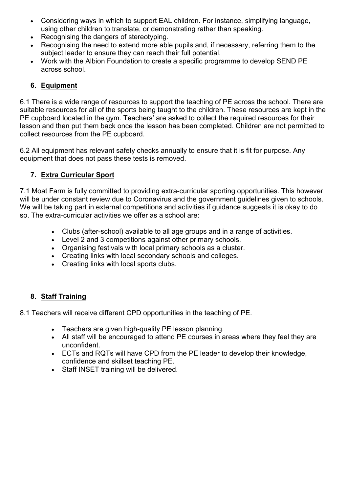- Considering ways in which to support EAL children. For instance, simplifying language, using other children to translate, or demonstrating rather than speaking.
- Recognising the dangers of stereotyping.
- Recognising the need to extend more able pupils and, if necessary, referring them to the subject leader to ensure they can reach their full potential.
- Work with the Albion Foundation to create a specific programme to develop SEND PE across school.

## **6. Equipment**

6.1 There is a wide range of resources to support the teaching of PE across the school. There are suitable resources for all of the sports being taught to the children. These resources are kept in the PE cupboard located in the gym. Teachers' are asked to collect the required resources for their lesson and then put them back once the lesson has been completed. Children are not permitted to collect resources from the PE cupboard.

6.2 All equipment has relevant safety checks annually to ensure that it is fit for purpose. Any equipment that does not pass these tests is removed.

### **7. Extra Curricular Sport**

7.1 Moat Farm is fully committed to providing extra-curricular sporting opportunities. This however will be under constant review due to Coronavirus and the government guidelines given to schools. We will be taking part in external competitions and activities if guidance suggests it is okay to do so. The extra-curricular activities we offer as a school are:

- Clubs (after-school) available to all age groups and in a range of activities.
- Level 2 and 3 competitions against other primary schools.
- Organising festivals with local primary schools as a cluster.
- Creating links with local secondary schools and colleges.
- Creating links with local sports clubs.

## **8. Staff Training**

8.1 Teachers will receive different CPD opportunities in the teaching of PE.

- Teachers are given high-quality PE lesson planning.
- All staff will be encouraged to attend PE courses in areas where they feel they are unconfident.
- ECTs and RQTs will have CPD from the PE leader to develop their knowledge, confidence and skillset teaching PE.
- Staff INSET training will be delivered.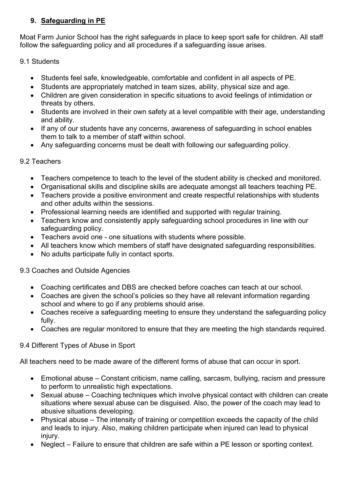## **9. Safeguarding in PE**

Moat Farm Junior School has the right safeguards in place to keep sport safe for children. All staff follow the safeguarding policy and all procedures if a safeguarding issue arises.

### 9.1 Students

- Students feel safe, knowledgeable, comfortable and confident in all aspects of PE.
- Students are appropriately matched in team sizes, ability, physical size and age.
- Children are given consideration in specific situations to avoid feelings of intimidation or threats by others.
- Students are involved in their own safety at a level compatible with their age, understanding and ability.
- If any of our students have any concerns, awareness of safeguarding in school enables them to talk to a member of staff within school.
- Any safeguarding concerns must be dealt with following our safeguarding policy.

## 9.2 Teachers

- Teachers competence to teach to the level of the student ability is checked and monitored.
- Organisational skills and discipline skills are adequate amongst all teachers teaching PE.
- Teachers provide a positive environment and create respectful relationships with students and other adults within the sessions.
- Professional learning needs are identified and supported with regular training.
- Teachers know and consistently apply safeguarding school procedures in line with our safeguarding policy.
- Teachers avoid one one situations with students where possible.
- All teachers know which members of staff have designated safeguarding responsibilities.
- No adults participate fully in contact sports.

#### 9.3 Coaches and Outside Agencies

- Coaching certificates and DBS are checked before coaches can teach at our school.
- Coaches are given the school's policies so they have all relevant information regarding school and where to go if any problems should arise.
- Coaches receive a safeguarding meeting to ensure they understand the safeguarding policy fully.
- Coaches are regular monitored to ensure that they are meeting the high standards required.

#### 9.4 Different Types of Abuse in Sport

All teachers need to be made aware of the different forms of abuse that can occur in sport.

- Emotional abuse Constant criticism, name calling, sarcasm, bullying, racism and pressure to perform to unrealistic high expectations.
- Sexual abuse Coaching techniques which involve physical contact with children can create situations where sexual abuse can be disguised. Also, the power of the coach may lead to abusive situations developing.
- Physical abuse The intensity of training or competition exceeds the capacity of the child and leads to injury. Also, making children participate when injured can lead to physical injury.
- Neglect Failure to ensure that children are safe within a PE lesson or sporting context.